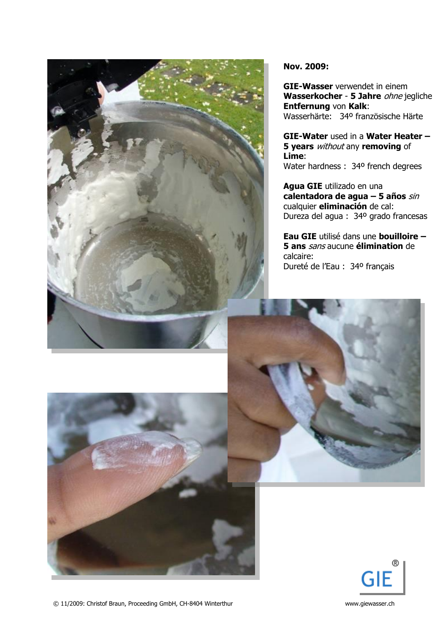

**Nov. 2009:**

**GIE-Wasser** verwendet in einem **Wasserkocher** - **5 Jahre** ohne jegliche **Entfernung** von **Kalk**: Wasserhärte: 34º französische Härte

**GIE-Water** used in a **Water Heater – 5 years** without any **removing** of **Lime**: Water hardness : 34º french degrees

**Agua GIE** utilizado en una **calentadora de agua – 5 años** sin cualquier **eliminación** de cal: Dureza del agua : 34º grado francesas

**Eau GIE** utilisé dans une **bouilloire – 5 ans** sans aucune **élimination** de calcaire: Dureté de l'Eau : 34º français